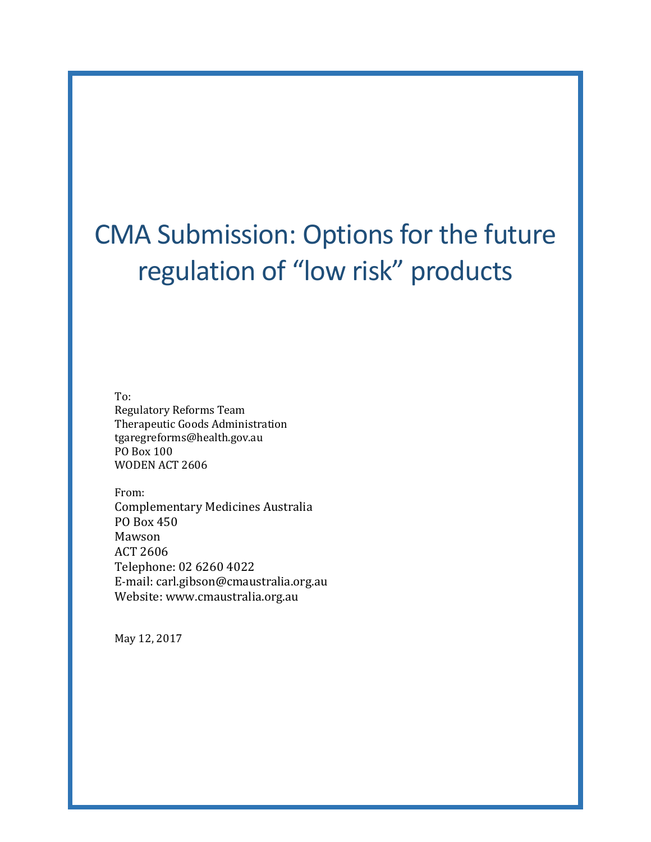# CMA Submission: Options for the future regulation of "low risk" products

To: Regulatory Reforms Team Therapeutic Goods Administration tgaregreforms@health.gov.au PO Box 100 WODEN ACT 2606

From: Complementary Medicines Australia PO Box 450 Mawson ACT 2606 Telephone: 02 6260 4022 E-mail: carl.gibson@cmaustralia.org.au Website: www.cmaustralia.org.au

May 12, 2017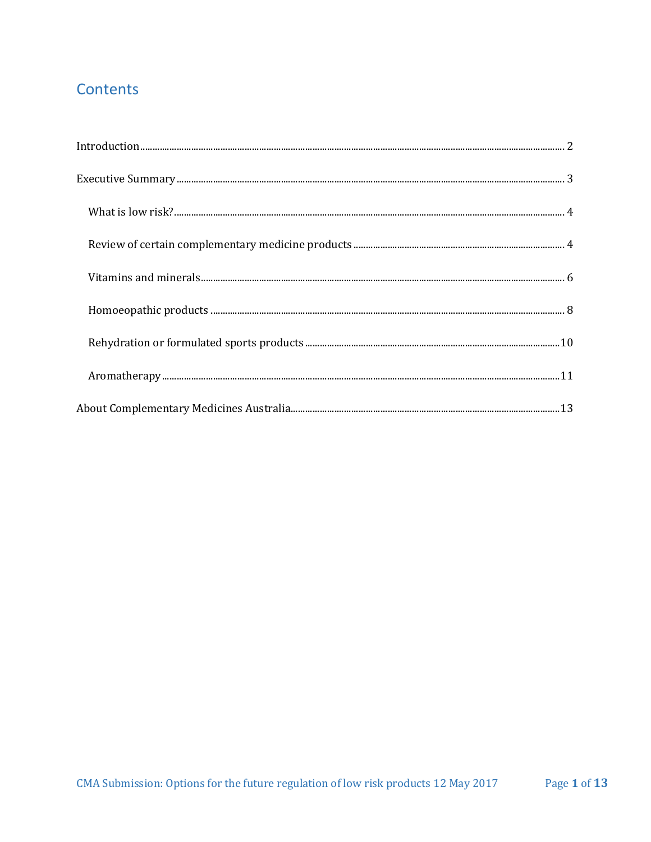# Contents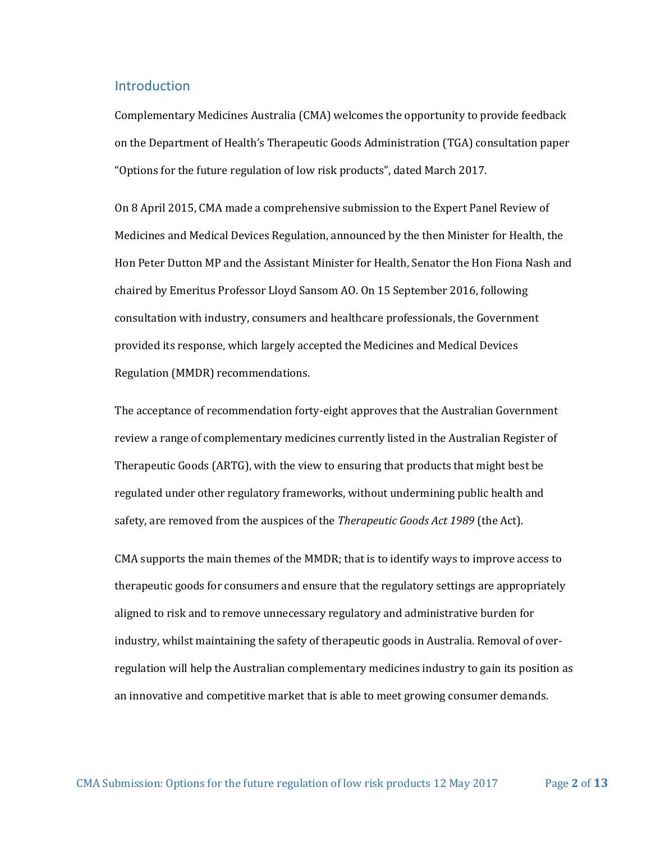#### <span id="page-2-0"></span>Introduction

Complementary Medicines Australia (CMA) welcomes the opportunity to provide feedback on the Department of Health's Therapeutic Goods Administration (TGA) consultation paper "Options for the future regulation of low risk products", dated March 2017.

On 8 April 2015, CMA made a comprehensive submission to the Expert Panel Review of Medicines and Medical Devices Regulation, announced by the then Minister for Health, the Hon Peter Dutton MP and the Assistant Minister for Health, Senator the Hon Fiona Nash and chaired by Emeritus Professor Lloyd Sansom AO. On 15 September 2016, following consultation with industry, consumers and healthcare professionals, the Government provided its response, which largely accepted the Medicines and Medical Devices Regulation (MMDR) recommendations.

The acceptance of recommendation forty-eight approves that the Australian Government review a range of complementary medicines currently listed in the Australian Register of Therapeutic Goods (ARTG), with the view to ensuring that products that might best be regulated under other regulatory frameworks, without undermining public health and safety, are removed from the auspices of the *Therapeutic Goods Act 1989* (the Act).

CMA supports the main themes of the MMDR; that is to identify ways to improve access to therapeutic goods for consumers and ensure that the regulatory settings are appropriately aligned to risk and to remove unnecessary regulatory and administrative burden for industry, whilst maintaining the safety of therapeutic goods in Australia. Removal of overregulation will help the Australian complementary medicines industry to gain its position as an innovative and competitive market that is able to meet growing consumer demands.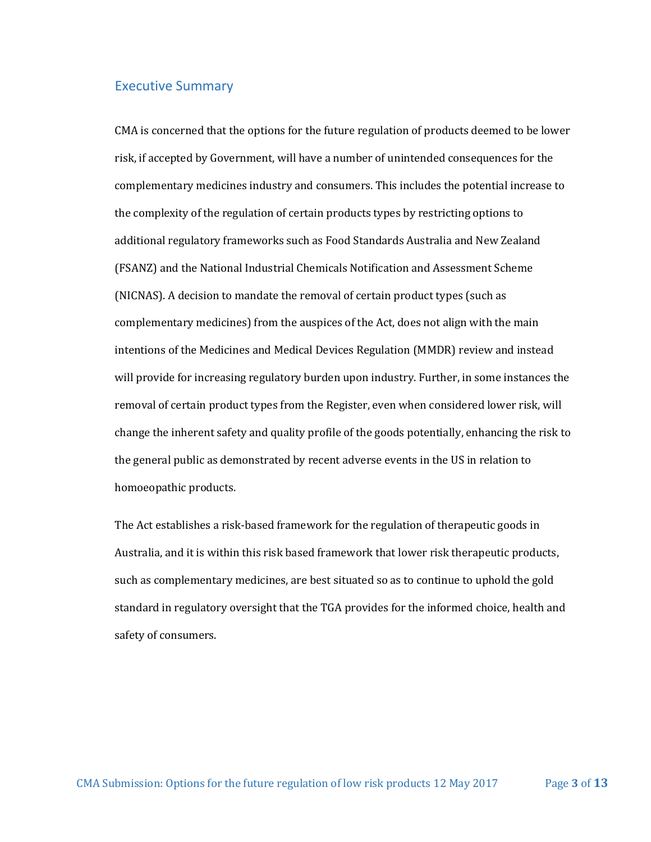#### <span id="page-3-0"></span>Executive Summary

CMA is concerned that the options for the future regulation of products deemed to be lower risk, if accepted by Government, will have a number of unintended consequences for the complementary medicines industry and consumers. This includes the potential increase to the complexity of the regulation of certain products types by restricting options to additional regulatory frameworks such as Food Standards Australia and New Zealand (FSANZ) and the National Industrial Chemicals Notification and Assessment Scheme (NICNAS). A decision to mandate the removal of certain product types (such as complementary medicines) from the auspices of the Act, does not align with the main intentions of the Medicines and Medical Devices Regulation (MMDR) review and instead will provide for increasing regulatory burden upon industry. Further, in some instances the removal of certain product types from the Register, even when considered lower risk, will change the inherent safety and quality profile of the goods potentially, enhancing the risk to the general public as demonstrated by recent adverse events in the US in relation to homoeopathic products.

The Act establishes a risk-based framework for the regulation of therapeutic goods in Australia, and it is within this risk based framework that lower risk therapeutic products, such as complementary medicines, are best situated so as to continue to uphold the gold standard in regulatory oversight that the TGA provides for the informed choice, health and safety of consumers.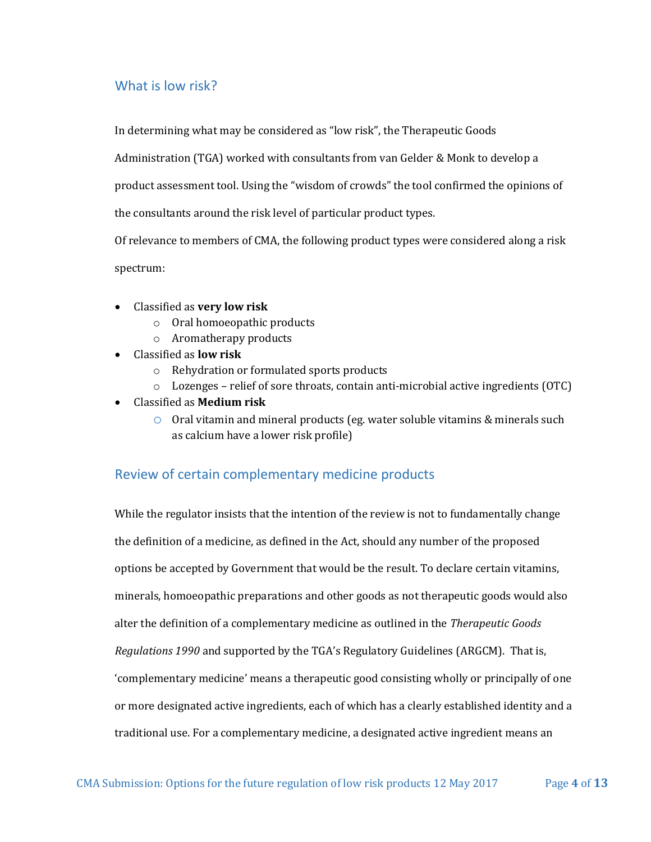# <span id="page-4-0"></span>What is low risk?

In determining what may be considered as "low risk", the Therapeutic Goods

Administration (TGA) worked with consultants from van Gelder & Monk to develop a

product assessment tool. Using the "wisdom of crowds" the tool confirmed the opinions of

the consultants around the risk level of particular product types.

Of relevance to members of CMA, the following product types were considered along a risk spectrum:

- Classified as **very low risk**
	- o Oral homoeopathic products
	- o Aromatherapy products
- Classified as **low risk**
	- o Rehydration or formulated sports products
	- o Lozenges relief of sore throats, contain anti-microbial active ingredients (OTC)
- Classified as **Medium risk**
	- $\circ$  Oral vitamin and mineral products (eg. water soluble vitamins & minerals such as calcium have a lower risk profile)

### <span id="page-4-1"></span>Review of certain complementary medicine products

While the regulator insists that the intention of the review is not to fundamentally change the definition of a medicine, as defined in the Act, should any number of the proposed options be accepted by Government that would be the result. To declare certain vitamins, minerals, homoeopathic preparations and other goods as not therapeutic goods would also alter the definition of a complementary medicine as outlined in the *Therapeutic Goods Regulations 1990* and supported by the TGA's Regulatory Guidelines (ARGCM). That is, 'complementary medicine' means a therapeutic good consisting wholly or principally of one or more designated active ingredients, each of which has a clearly established identity and a traditional use. For a complementary medicine, a designated active ingredient means an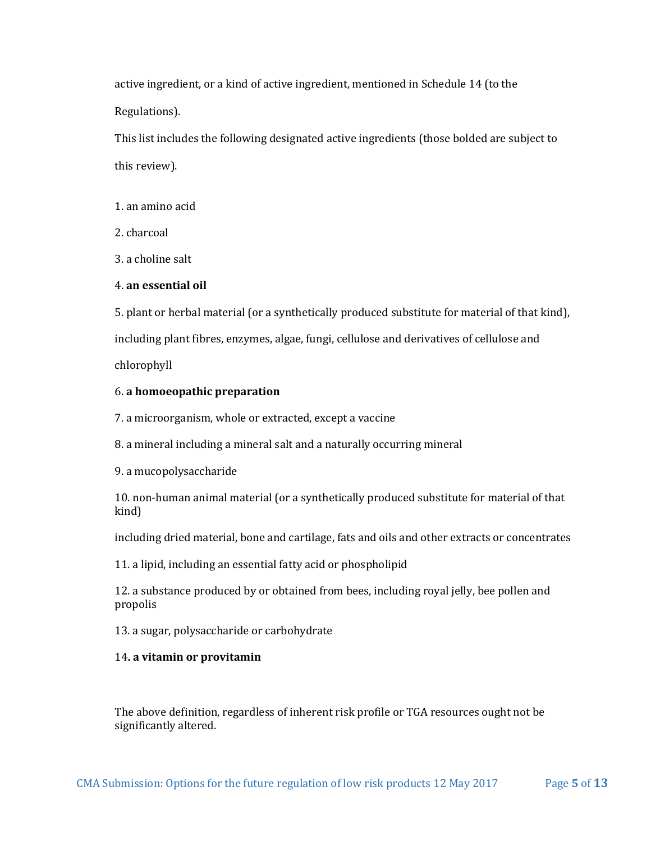active ingredient, or a kind of active ingredient, mentioned in Schedule 14 (to the Regulations).

This list includes the following designated active ingredients (those bolded are subject to this review).

1. an amino acid

2. charcoal

3. a choline salt

#### 4. **an essential oil**

5. plant or herbal material (or a synthetically produced substitute for material of that kind),

including plant fibres, enzymes, algae, fungi, cellulose and derivatives of cellulose and

chlorophyll

#### 6. **a homoeopathic preparation**

7. a microorganism, whole or extracted, except a vaccine

8. a mineral including a mineral salt and a naturally occurring mineral

9. a mucopolysaccharide

10. non-human animal material (or a synthetically produced substitute for material of that kind)

including dried material, bone and cartilage, fats and oils and other extracts or concentrates

11. a lipid, including an essential fatty acid or phospholipid

12. a substance produced by or obtained from bees, including royal jelly, bee pollen and propolis

13. a sugar, polysaccharide or carbohydrate

#### 14**. a vitamin or provitamin**

The above definition, regardless of inherent risk profile or TGA resources ought not be significantly altered.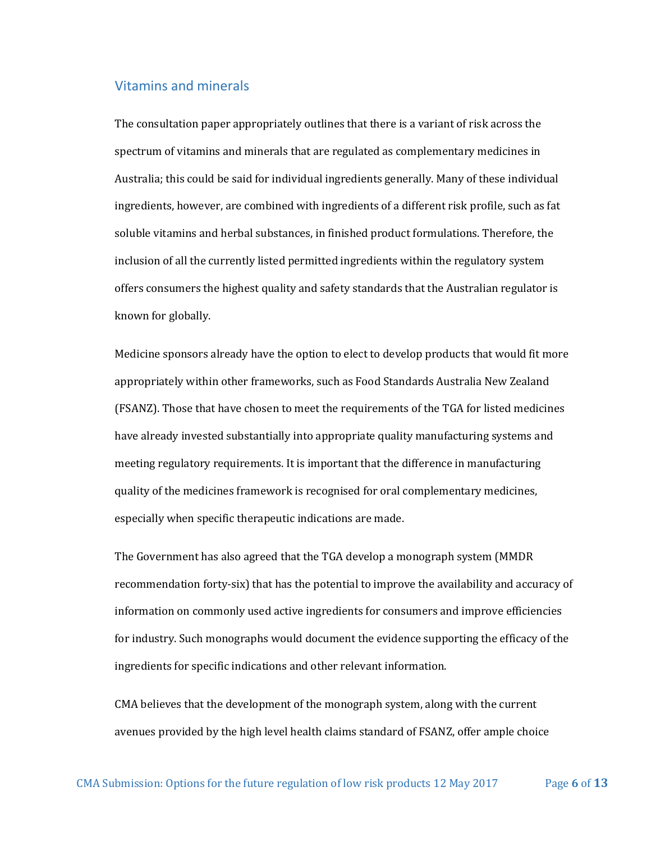#### <span id="page-6-0"></span>Vitamins and minerals

The consultation paper appropriately outlines that there is a variant of risk across the spectrum of vitamins and minerals that are regulated as complementary medicines in Australia; this could be said for individual ingredients generally. Many of these individual ingredients, however, are combined with ingredients of a different risk profile, such as fat soluble vitamins and herbal substances, in finished product formulations. Therefore, the inclusion of all the currently listed permitted ingredients within the regulatory system offers consumers the highest quality and safety standards that the Australian regulator is known for globally.

Medicine sponsors already have the option to elect to develop products that would fit more appropriately within other frameworks, such as Food Standards Australia New Zealand (FSANZ). Those that have chosen to meet the requirements of the TGA for listed medicines have already invested substantially into appropriate quality manufacturing systems and meeting regulatory requirements. It is important that the difference in manufacturing quality of the medicines framework is recognised for oral complementary medicines, especially when specific therapeutic indications are made.

The Government has also agreed that the TGA develop a monograph system (MMDR recommendation forty-six) that has the potential to improve the availability and accuracy of information on commonly used active ingredients for consumers and improve efficiencies for industry. Such monographs would document the evidence supporting the efficacy of the ingredients for specific indications and other relevant information.

CMA believes that the development of the monograph system, along with the current avenues provided by the high level health claims standard of FSANZ, offer ample choice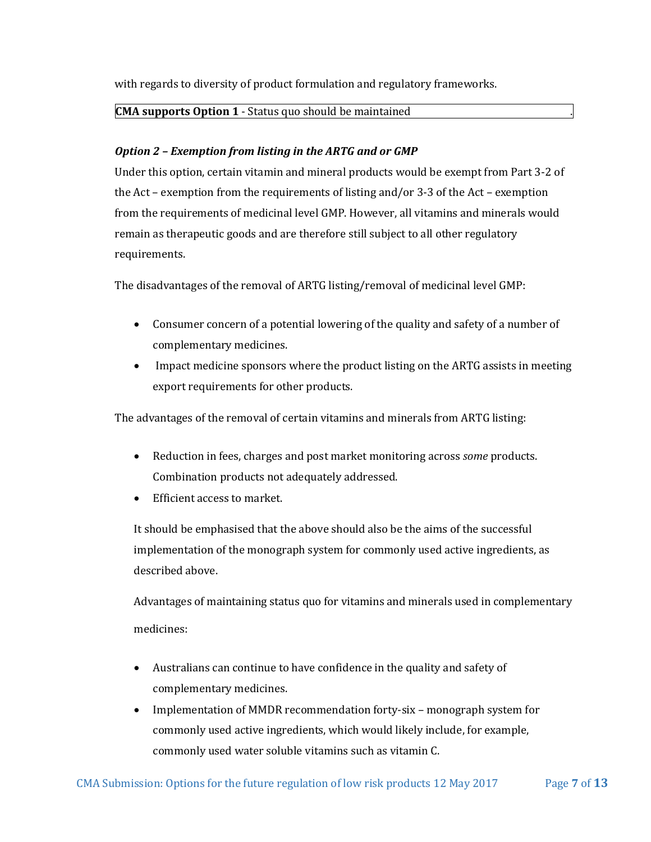with regards to diversity of product formulation and regulatory frameworks.

#### **CMA supports Option 1** - Status quo should be maintained .

#### *Option 2 – Exemption from listing in the ARTG and or GMP*

Under this option, certain vitamin and mineral products would be exempt from Part 3-2 of the Act – exemption from the requirements of listing and/or 3-3 of the Act – exemption from the requirements of medicinal level GMP. However, all vitamins and minerals would remain as therapeutic goods and are therefore still subject to all other regulatory requirements.

The disadvantages of the removal of ARTG listing/removal of medicinal level GMP:

- Consumer concern of a potential lowering of the quality and safety of a number of complementary medicines.
- Impact medicine sponsors where the product listing on the ARTG assists in meeting export requirements for other products.

The advantages of the removal of certain vitamins and minerals from ARTG listing:

- Reduction in fees, charges and post market monitoring across *some* products. Combination products not adequately addressed.
- Efficient access to market.

It should be emphasised that the above should also be the aims of the successful implementation of the monograph system for commonly used active ingredients, as described above.

Advantages of maintaining status quo for vitamins and minerals used in complementary medicines:

- Australians can continue to have confidence in the quality and safety of complementary medicines.
- Implementation of MMDR recommendation forty-six monograph system for commonly used active ingredients, which would likely include, for example, commonly used water soluble vitamins such as vitamin C.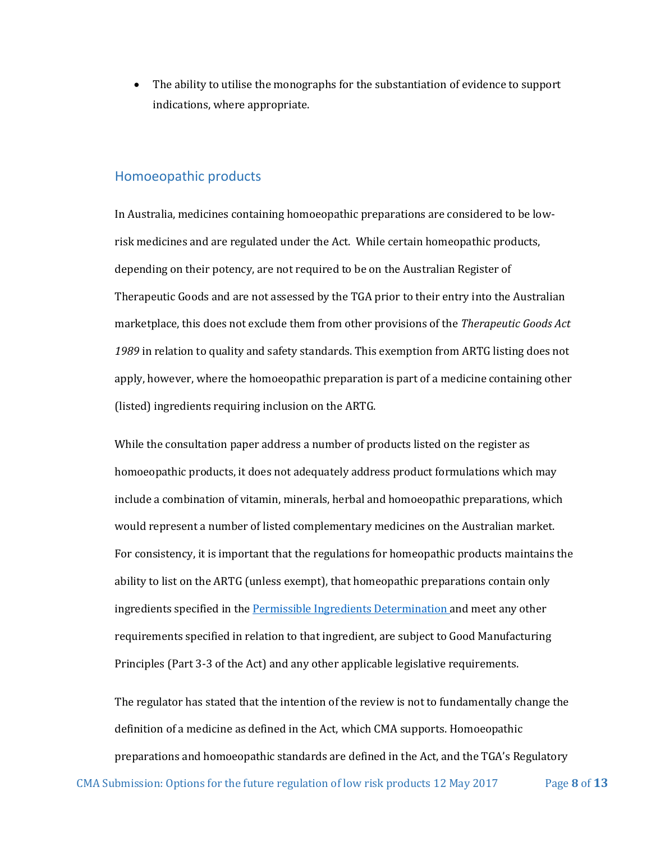The ability to utilise the monographs for the substantiation of evidence to support indications, where appropriate.

#### <span id="page-8-0"></span>Homoeopathic products

In Australia, medicines containing homoeopathic preparations are considered to be lowrisk medicines and are regulated under the Act. While certain homeopathic products, depending on their potency, are not required to be on the Australian Register of Therapeutic Goods and are not assessed by the TGA prior to their entry into the Australian marketplace, this does not exclude them from other provisions of the *Therapeutic Goods Act 1989* in relation to quality and safety standards. This exemption from ARTG listing does not apply, however, where the homoeopathic preparation is part of a medicine containing other (listed) ingredients requiring inclusion on the ARTG.

While the consultation paper address a number of products listed on the register as homoeopathic products, it does not adequately address product formulations which may include a combination of vitamin, minerals, herbal and homoeopathic preparations, which would represent a number of listed complementary medicines on the Australian market. For consistency, it is important that the regulations for homeopathic products maintains the ability to list on the ARTG (unless exempt), that homeopathic preparations contain only ingredients specified in th[e Permissible Ingredients Determination](https://www.tga.gov.au/therapeutic-goods-determinations) and meet any other requirements specified in relation to that ingredient, are subject to Good Manufacturing Principles (Part 3-3 of the Act) and any other applicable legislative requirements.

The regulator has stated that the intention of the review is not to fundamentally change the definition of a medicine as defined in the Act, which CMA supports. Homoeopathic preparations and homoeopathic standards are defined in the Act, and the TGA's Regulatory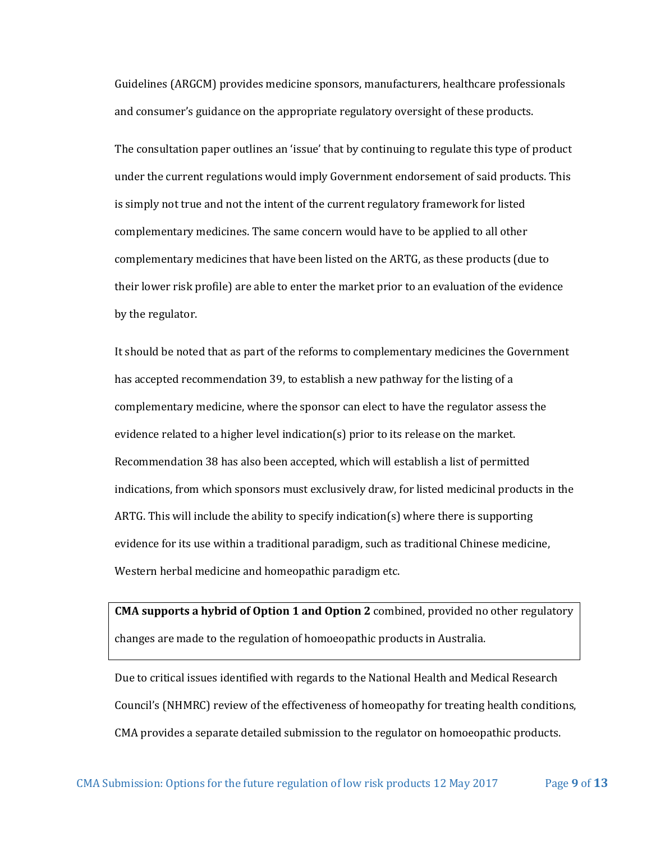Guidelines (ARGCM) provides medicine sponsors, manufacturers, healthcare professionals and consumer's guidance on the appropriate regulatory oversight of these products.

The consultation paper outlines an 'issue' that by continuing to regulate this type of product under the current regulations would imply Government endorsement of said products. This is simply not true and not the intent of the current regulatory framework for listed complementary medicines. The same concern would have to be applied to all other complementary medicines that have been listed on the ARTG, as these products (due to their lower risk profile) are able to enter the market prior to an evaluation of the evidence by the regulator.

It should be noted that as part of the reforms to complementary medicines the Government has accepted recommendation 39, to establish a new pathway for the listing of a complementary medicine, where the sponsor can elect to have the regulator assess the evidence related to a higher level indication(s) prior to its release on the market. Recommendation 38 has also been accepted, which will establish a list of permitted indications, from which sponsors must exclusively draw, for listed medicinal products in the ARTG. This will include the ability to specify indication(s) where there is supporting evidence for its use within a traditional paradigm, such as traditional Chinese medicine, Western herbal medicine and homeopathic paradigm etc.

**CMA supports a hybrid of Option 1 and Option 2** combined, provided no other regulatory changes are made to the regulation of homoeopathic products in Australia.

Due to critical issues identified with regards to the National Health and Medical Research Council's (NHMRC) review of the effectiveness of homeopathy for treating health conditions, CMA provides a separate detailed submission to the regulator on homoeopathic products.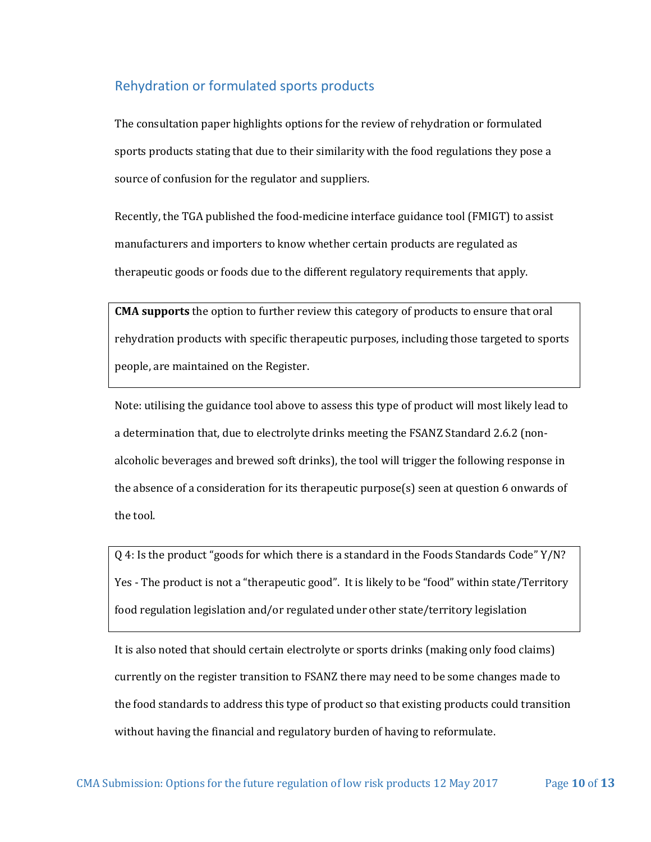# <span id="page-10-0"></span>Rehydration or formulated sports products

The consultation paper highlights options for the review of rehydration or formulated sports products stating that due to their similarity with the food regulations they pose a source of confusion for the regulator and suppliers.

Recently, the TGA published the food-medicine interface guidance tool (FMIGT) to assist manufacturers and importers to know whether certain products are regulated as therapeutic goods or foods due to the different regulatory requirements that apply.

**CMA supports** the option to further review this category of products to ensure that oral rehydration products with specific therapeutic purposes, including those targeted to sports people, are maintained on the Register.

Note: utilising the guidance tool above to assess this type of product will most likely lead to a determination that, due to electrolyte drinks meeting the FSANZ Standard 2.6.2 (nonalcoholic beverages and brewed soft drinks), the tool will trigger the following response in the absence of a consideration for its therapeutic purpose(s) seen at question 6 onwards of the tool.

Q 4: Is the product "goods for which there is a standard in the Foods Standards Code" Y/N? Yes - The product is not a "therapeutic good". It is likely to be "food" within state/Territory food regulation legislation and/or regulated under other state/territory legislation

It is also noted that should certain electrolyte or sports drinks (making only food claims) currently on the register transition to FSANZ there may need to be some changes made to the food standards to address this type of product so that existing products could transition without having the financial and regulatory burden of having to reformulate.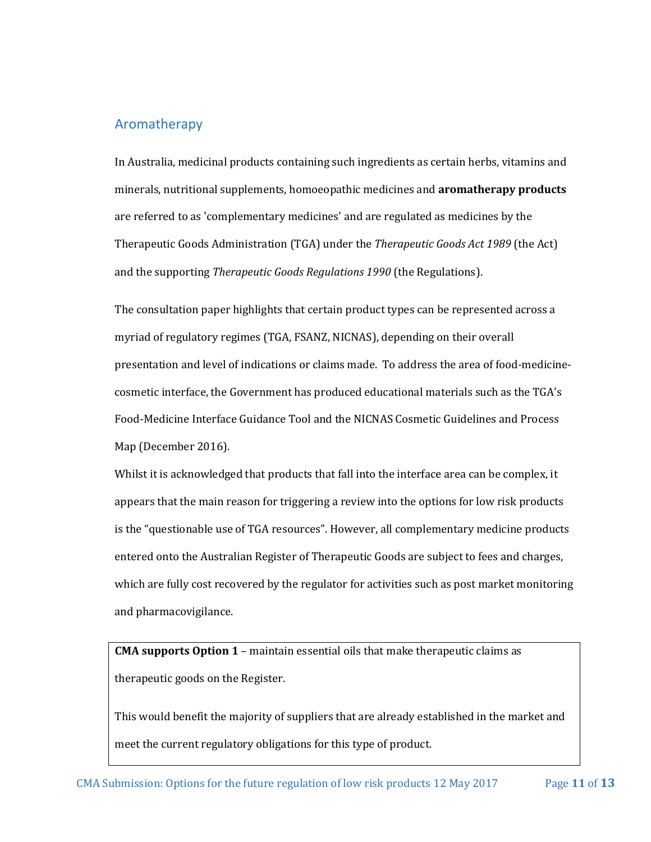#### <span id="page-11-0"></span>Aromatherapy

In Australia, medicinal products containing such ingredients as certain herbs, vitamins and minerals, nutritional supplements, homoeopathic medicines and **aromatherapy products** are referred to as 'complementary medicines' and are regulated as medicines by the Therapeutic Goods Administration (TGA) under the *Therapeutic Goods Act 1989* (the Act) and the supporting *Therapeutic Goods Regulations 1990* (the Regulations).

The consultation paper highlights that certain product types can be represented across a myriad of regulatory regimes (TGA, FSANZ, NICNAS), depending on their overall presentation and level of indications or claims made. To address the area of food-medicinecosmetic interface, the Government has produced educational materials such as the TGA's Food-Medicine Interface Guidance Tool and the NICNAS Cosmetic Guidelines and Process Map (December 2016).

Whilst it is acknowledged that products that fall into the interface area can be complex, it appears that the main reason for triggering a review into the options for low risk products is the "questionable use of TGA resources". However, all complementary medicine products entered onto the Australian Register of Therapeutic Goods are subject to fees and charges, which are fully cost recovered by the regulator for activities such as post market monitoring and pharmacovigilance.

**CMA supports Option 1** – maintain essential oils that make therapeutic claims as therapeutic goods on the Register.

This would benefit the majority of suppliers that are already established in the market and meet the current regulatory obligations for this type of product.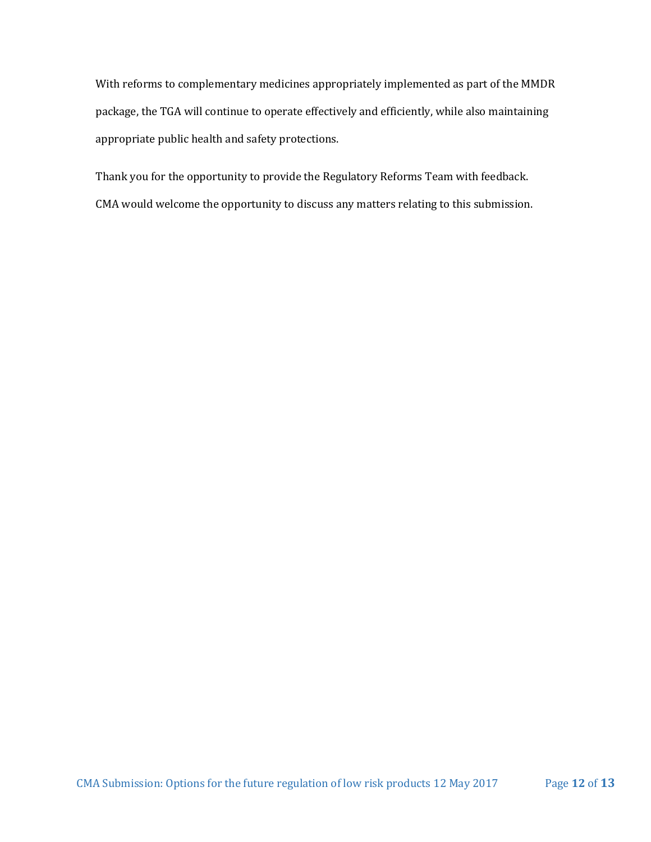With reforms to complementary medicines appropriately implemented as part of the MMDR package, the TGA will continue to operate effectively and efficiently, while also maintaining appropriate public health and safety protections.

Thank you for the opportunity to provide the Regulatory Reforms Team with feedback.

CMA would welcome the opportunity to discuss any matters relating to this submission.